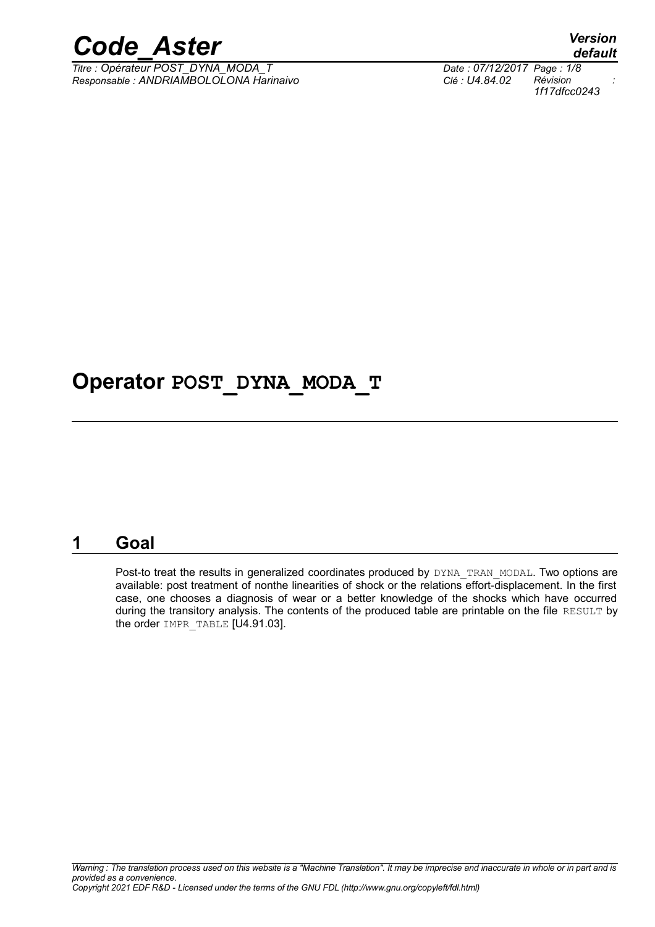

 $\overline{T}$ *Titre : Opérateur POST\_DYNA\_MODA\_T Responsable : ANDRIAMBOLOLONA Harinaivo Clé : U4.84.02 Révision :*

*default 1f17dfcc0243*

## **Operator POST\_DYNA\_MODA\_T**

#### **1 Goal**

Post-to treat the results in generalized coordinates produced by DYNA\_TRAN\_MODAL. Two options are available: post treatment of nonthe linearities of shock or the relations effort-displacement. In the first case, one chooses a diagnosis of wear or a better knowledge of the shocks which have occurred during the transitory analysis. The contents of the produced table are printable on the file RESULT by the order IMPR\_TABLE [U4.91.03].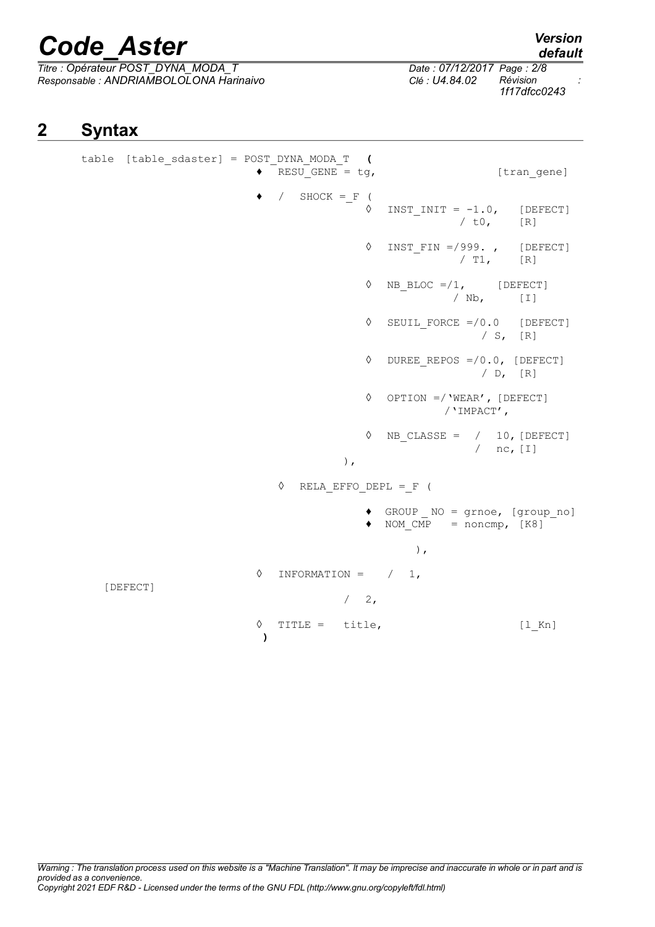*Titre : Opérateur POST\_DYNA\_MODA\_T Date : 07/12/2017 Page : 2/8 Responsable : ANDRIAMBOLOLONA Harinaivo Clé : U4.84.02 Révision :*

*1f17dfcc0243*

### **2 Syntax**

|  | table [table sdaster] = POST DYNA MODA T ( |                             | RESU GENE = $tg$ ,      |            |                                                                    | [tran gene]       |
|--|--------------------------------------------|-----------------------------|-------------------------|------------|--------------------------------------------------------------------|-------------------|
|  |                                            |                             | $\bullet$ / SHOCK = F ( | $\Diamond$ | INST INIT = $-1.0$ , [DEFECT]<br>/ $t0$ , $[R]$                    |                   |
|  |                                            |                             |                         | ♦          | INST FIN $=$ /999. , [DEFECT]<br>/ T1, $[R]$                       |                   |
|  |                                            |                             |                         | ♦          | NB BLOC $=$ $/1$ , [DEFECT]<br>/ Nb, $[I]$                         |                   |
|  |                                            |                             |                         | ♦          | SEUIL_FORCE =/0.0 [DEFECT]<br>/ S, [R]                             |                   |
|  |                                            |                             |                         |            | $\lozenge$ DUREE REPOS =/0.0, [DEFECT]                             | / $D, [R]$        |
|  |                                            |                             |                         |            | $\lozenge$ OPTION =/'WEAR', [DEFECT]<br>/ $'$ IMPACT',             |                   |
|  |                                            |                             |                         | $)$ ,      | $\lozenge$ NB_CLASSE = / 10, [DEFECT]                              | $\sqrt{nc}$ , [I] |
|  |                                            | ♦<br>RELA EFFO DEPL = $F$ ( |                         |            |                                                                    |                   |
|  |                                            |                             |                         |            | ◆ GROUP NO = grnoe, [group no]<br>$\bullet$ NOM CMP = noncmp, [K8] |                   |
|  |                                            |                             |                         |            | $\,$ ,                                                             |                   |
|  | [DEFECT]                                   | $\Diamond$                  | INFORMATION = $/ 1$ ,   |            |                                                                    |                   |
|  |                                            |                             |                         | $/2$ ,     |                                                                    |                   |
|  |                                            | ♦<br>$\lambda$              | TITLE = $title,$        |            |                                                                    | $[1$ Kn]          |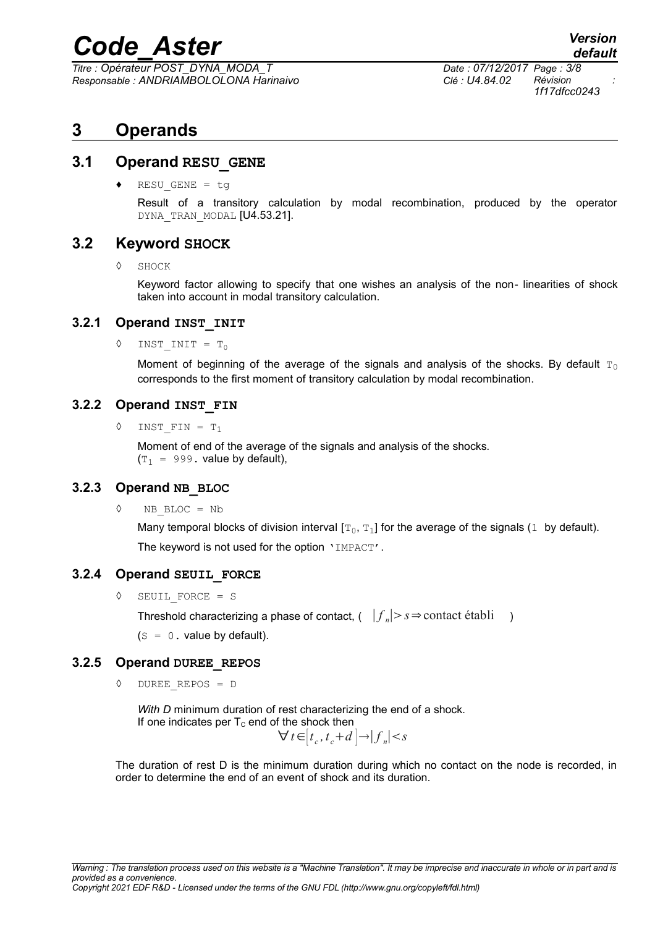*Titre : Opérateur POST\_DYNA\_MODA\_T Date : 07/12/2017 Page : 3/8 Responsable : ANDRIAMBOLOLONA Harinaivo Clé : U4.84.02 Révision :*

*1f17dfcc0243*

### **3 Operands**

#### **3.1 Operand RESU\_GENE**

 $RESU$  GENE = tg

Result of a transitory calculation by modal recombination, produced by the operator DYNA TRAN MODAL [U4.53.21].

#### **3.2 Keyword SHOCK**

◊ SHOCK

Keyword factor allowing to specify that one wishes an analysis of the non- linearities of shock taken into account in modal transitory calculation.

#### **3.2.1 Operand INST\_INIT**

 $\Diamond$  INST INIT = T<sub>0</sub>

Moment of beginning of the average of the signals and analysis of the shocks. By default  $T_0$ corresponds to the first moment of transitory calculation by modal recombination.

#### **3.2.2 Operand INST\_FIN**

 $\Diamond$  INST FIN = T<sub>1</sub>

Moment of end of the average of the signals and analysis of the shocks.  $(T_1 = 999$ . value by default),

#### **3.2.3 Operand NB\_BLOC**

◊ NB\_BLOC = Nb

Many temporal blocks of division interval  $[T_0, T_1]$  for the average of the signals (1 by default). The keyword is not used for the option 'IMPACT'.

#### **3.2.4 Operand SEUIL\_FORCE**

◊ SEUIL\_FORCE = S

Threshold characterizing a phase of contact, ( ∣*f n* ∣*s*⇒contact établi )

 $(S = 0.$  value by default).

#### **3.2.5 Operand DUREE\_REPOS**

◊ DUREE\_REPOS = D

*With D* minimum duration of rest characterizing the end of a shock. If one indicates per  $T_c$  end of the shock then

$$
\forall t \in [t_c, t_c + d] \rightarrow |f_n| < s
$$

The duration of rest D is the minimum duration during which no contact on the node is recorded, in order to determine the end of an event of shock and its duration.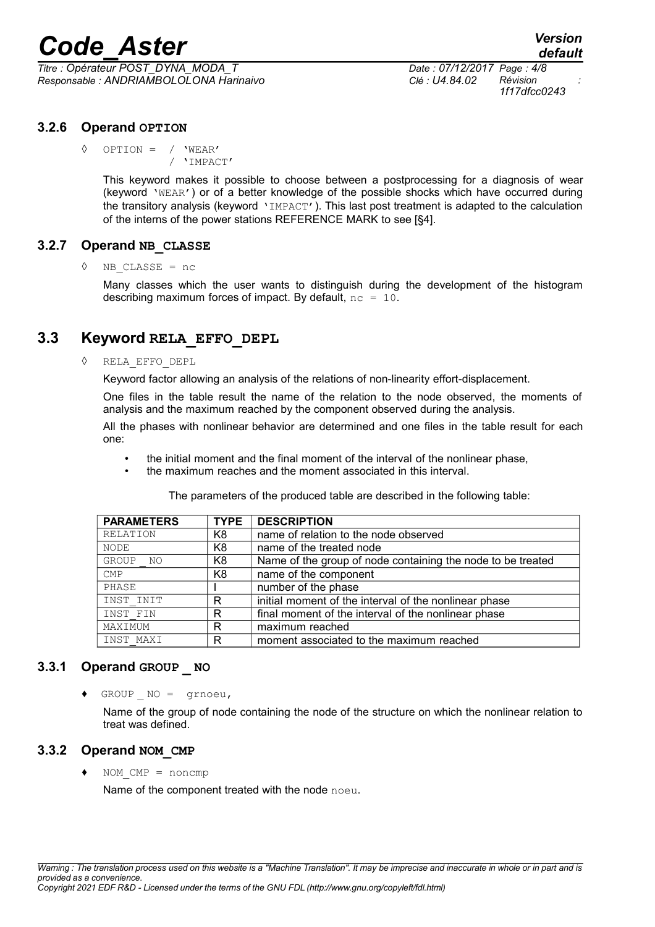*Titre : Opérateur POST\_DYNA\_MODA\_T Date : 07/12/2017 Page : 4/8 Responsable : ANDRIAMBOLOLONA Harinaivo Clé : U4.84.02 Révision :*

*1f17dfcc0243*

#### **3.2.6 Operand OPTION**

◊ OPTION = / 'WEAR'

/ 'IMPACT'

This keyword makes it possible to choose between a postprocessing for a diagnosis of wear (keyword 'WEAR') or of a better knowledge of the possible shocks which have occurred during the transitory analysis (keyword 'IMPACT'). This last post treatment is adapted to the calculation of the interns of the power stations REFERENCE MARK to see [§4].

#### **3.2.7 Operand NB\_CLASSE**

◊ NB\_CLASSE = nc

Many classes which the user wants to distinguish during the development of the histogram describing maximum forces of impact. By default,  $nc = 10$ .

#### **3.3 Keyword RELA\_EFFO\_DEPL**

◊ RELA\_EFFO\_DEPL

Keyword factor allowing an analysis of the relations of non-linearity effort-displacement.

One files in the table result the name of the relation to the node observed, the moments of analysis and the maximum reached by the component observed during the analysis.

All the phases with nonlinear behavior are determined and one files in the table result for each one:

- the initial moment and the final moment of the interval of the nonlinear phase,
- the maximum reaches and the moment associated in this interval.

| <b>PARAMETERS</b> | <b>TYPE</b>    | <b>DESCRIPTION</b>                                          |
|-------------------|----------------|-------------------------------------------------------------|
| RELATION          | K <sub>8</sub> | name of relation to the node observed                       |
| NODE              | K8             | name of the treated node                                    |
| GROUP<br>NO       | K8             | Name of the group of node containing the node to be treated |
| <b>CMP</b>        | K8             | name of the component                                       |
| PHASE             |                | number of the phase                                         |
| INST INIT         | R              | initial moment of the interval of the nonlinear phase       |
| INST FIN          | R              | final moment of the interval of the nonlinear phase         |
| MAXIMUM           | R              | maximum reached                                             |
| INST MAXI         | R              | moment associated to the maximum reached                    |

The parameters of the produced table are described in the following table:

#### **3.3.1 Operand GROUP \_ NO**

 $\triangleleft$  GROUP NO = grnoeu,

Name of the group of node containing the node of the structure on which the nonlinear relation to treat was defined.

#### **3.3.2 Operand NOM\_CMP**

♦ NOM\_CMP = noncmp

Name of the component treated with the node noeu.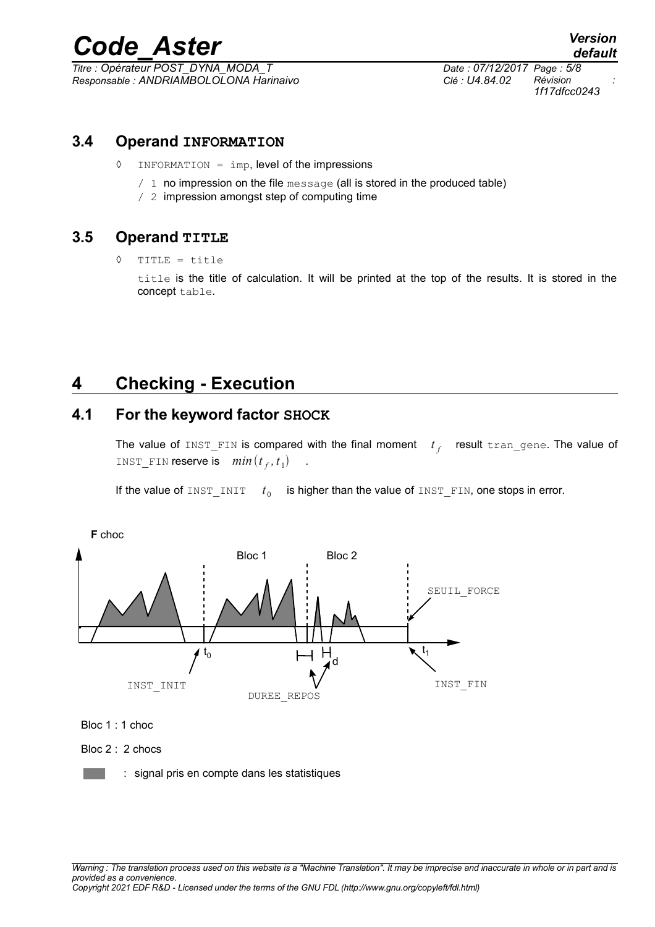*Titre : Opérateur POST\_DYNA\_MODA\_T Date : 07/12/2017 Page : 5/8 Responsable : ANDRIAMBOLOLONA Harinaivo Clé : U4.84.02 Révision :*

*1f17dfcc0243*

#### **3.4 Operand INFORMATION**

- ◊ INFORMATION = imp, level of the impressions
	- $/1$  no impression on the file message (all is stored in the produced table)
	- / 2 impression amongst step of computing time

#### **3.5 Operand TITLE**

◊ TITLE = title

title is the title of calculation. It will be printed at the top of the results. It is stored in the concept table.

### **4 Checking - Execution**

#### **4.1 For the keyword factor SHOCK**

The value of INST\_FIN is compared with the final moment *t f* result tran\_gene. The value of INST\_FIN reserve is  $min(t_f, t_1)$ .

If the value of  $\texttt{INST\_INIT} \quad t_0$  is higher than the value of  $\texttt{INST\_FIN}$ , one stops in error.



Bloc 2 : 2 chocs

: signal pris en compte dans les statistiques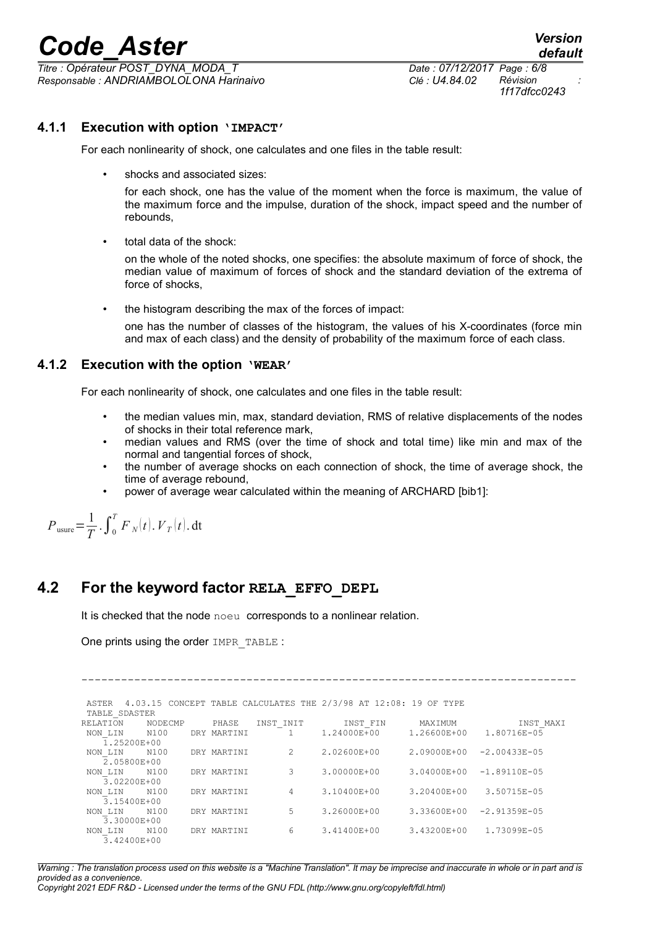*Titre : Opérateur POST\_DYNA\_MODA\_T Date : 07/12/2017 Page : 6/8 Responsable : ANDRIAMBOLOLONA Harinaivo Clé : U4.84.02 Révision :*

*1f17dfcc0243*

#### **4.1.1 Execution with option 'IMPACT'**

For each nonlinearity of shock, one calculates and one files in the table result:

shocks and associated sizes:

for each shock, one has the value of the moment when the force is maximum, the value of the maximum force and the impulse, duration of the shock, impact speed and the number of rebounds,

• total data of the shock:

on the whole of the noted shocks, one specifies: the absolute maximum of force of shock, the median value of maximum of forces of shock and the standard deviation of the extrema of force of shocks,

• the histogram describing the max of the forces of impact:

one has the number of classes of the histogram, the values of his X-coordinates (force min and max of each class) and the density of probability of the maximum force of each class.

#### **4.1.2 Execution with the option 'WEAR'**

For each nonlinearity of shock, one calculates and one files in the table result:

- the median values min, max, standard deviation, RMS of relative displacements of the nodes of shocks in their total reference mark,
- median values and RMS (over the time of shock and total time) like min and max of the normal and tangential forces of shock,
- the number of average shocks on each connection of shock, the time of average shock, the time of average rebound,
- power of average wear calculated within the meaning of ARCHARD [bib1]:

 $P_{\text{usure}} = \frac{1}{T}$  $\frac{1}{T}$ .  $\int_0^T F_N(t)$ .  $V_T(t)$ . dt

#### **4.2 For the keyword factor RELA\_EFFO\_DEPL**

It is checked that the node noeu corresponds to a nonlinear relation.

One prints using the order IMPR TABLE :

--------------------------------------------------------------------------- ASTER 4.03.15 CONCEPT TABLE CALCULATES THE 2/3/98 AT 12:08: 19 OF TYPE TABLE\_SDASTER RELATION NODECMP PHASE INST\_INIT INST\_FIN MAXIMUM INST\_MAXI NON LIN N100 DRY MARTINI 1 1.24000E+00 1.26600E+00 1.80716E-05 1.25200E+00 NON LIN N100 DRY MARTINI 2 2.02600E+00 2.09000E+00 -2.00433E-05 2.05800E+00 NON DRY MARTINI 3 3.00000E+00 3.04000E+00 -1.89110E-05 NON\_LIN N100<br>3.02200E+00<br>NON LIN N100 NORY MARTINI 4 3.10400E+00 3.20400E+00 3.50715E-05  $\overline{3.15400E} + 00$ <br> $\overline{3.15400E} + 00$ NON LIN N100 DRY MARTINI 5 3.26000E+00 3.33600E+00 -2.91359E-05 3.30000E+00<br>LIN N100 DRYMARTINI NON LIN N100 DRY MARTINI 6 3.41400E+00 3.43200E+00 1.73099E-05 3.42400E+00

*Warning : The translation process used on this website is a "Machine Translation". It may be imprecise and inaccurate in whole or in part and is provided as a convenience. Copyright 2021 EDF R&D - Licensed under the terms of the GNU FDL (http://www.gnu.org/copyleft/fdl.html)*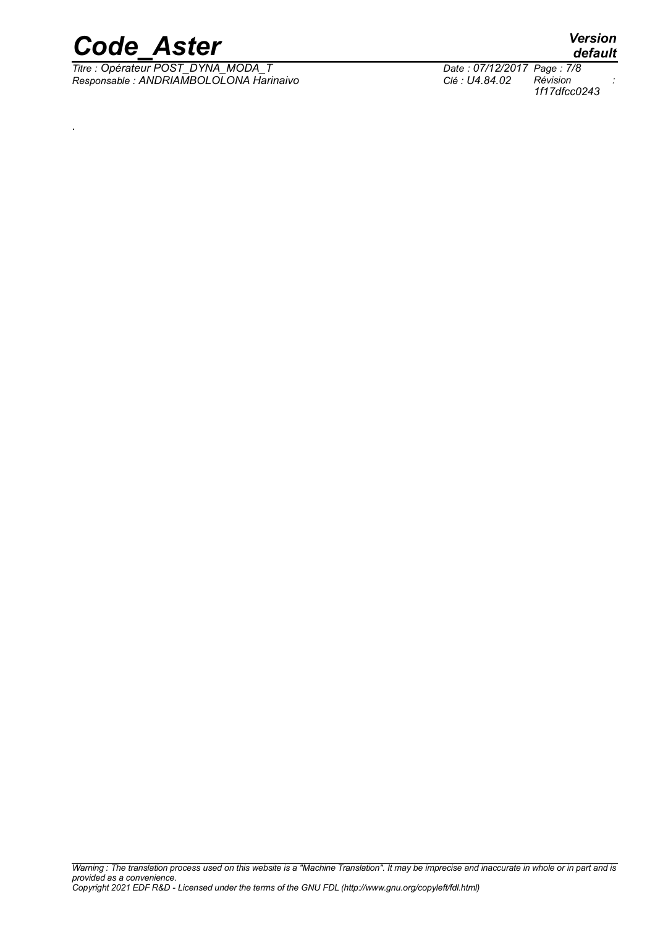.

*Titre : Opérateur POST\_DYNA\_MODA\_T Date : 07/12/2017 Page : 7/8 Responsable : ANDRIAMBOLOLONA Harinaivo Clé : U4.84.02 Révision :*

*1f17dfcc0243*